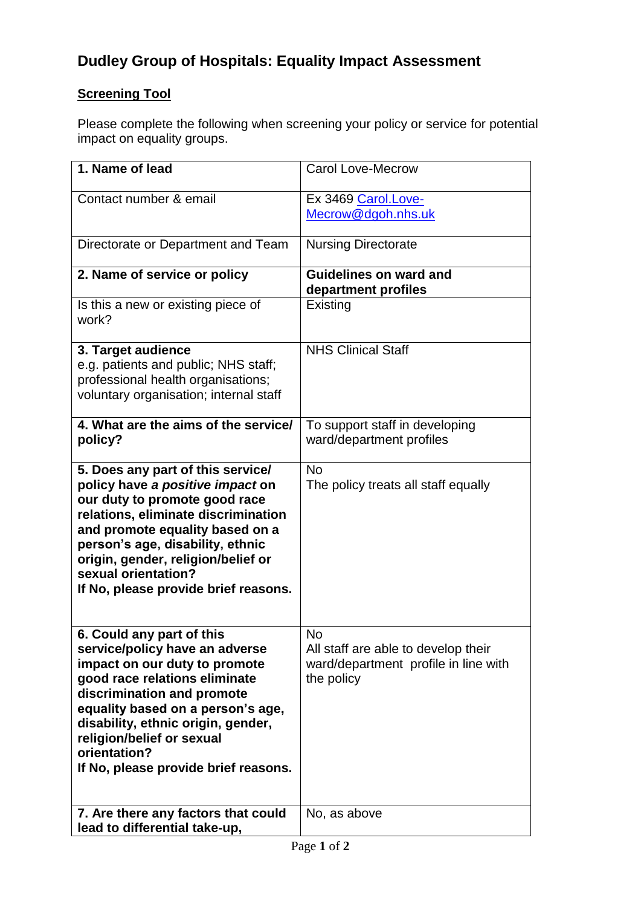# **Dudley Group of Hospitals: Equality Impact Assessment**

## **Screening Tool**

Please complete the following when screening your policy or service for potential impact on equality groups.

| 1. Name of lead                                                                                                                                                                                                                                                                                                             | <b>Carol Love-Mecrow</b>                                                                               |
|-----------------------------------------------------------------------------------------------------------------------------------------------------------------------------------------------------------------------------------------------------------------------------------------------------------------------------|--------------------------------------------------------------------------------------------------------|
| Contact number & email                                                                                                                                                                                                                                                                                                      | Ex 3469 Carol.Love-<br>Mecrow@dgoh.nhs.uk                                                              |
| Directorate or Department and Team                                                                                                                                                                                                                                                                                          | <b>Nursing Directorate</b>                                                                             |
| 2. Name of service or policy                                                                                                                                                                                                                                                                                                | <b>Guidelines on ward and</b><br>department profiles                                                   |
| Is this a new or existing piece of<br>work?                                                                                                                                                                                                                                                                                 | Existing                                                                                               |
| 3. Target audience<br>e.g. patients and public; NHS staff;<br>professional health organisations;<br>voluntary organisation; internal staff                                                                                                                                                                                  | <b>NHS Clinical Staff</b>                                                                              |
| 4. What are the aims of the service/<br>policy?                                                                                                                                                                                                                                                                             | To support staff in developing<br>ward/department profiles                                             |
| 5. Does any part of this service/<br>policy have a positive impact on<br>our duty to promote good race<br>relations, eliminate discrimination<br>and promote equality based on a<br>person's age, disability, ethnic<br>origin, gender, religion/belief or<br>sexual orientation?<br>If No, please provide brief reasons.   | <b>No</b><br>The policy treats all staff equally                                                       |
| 6. Could any part of this<br>service/policy have an adverse<br>impact on our duty to promote<br>good race relations eliminate<br>discrimination and promote<br>equality based on a person's age,<br>disability, ethnic origin, gender,<br>religion/belief or sexual<br>orientation?<br>If No, please provide brief reasons. | <b>No</b><br>All staff are able to develop their<br>ward/department profile in line with<br>the policy |
| 7. Are there any factors that could<br>lead to differential take-up,                                                                                                                                                                                                                                                        | No, as above                                                                                           |